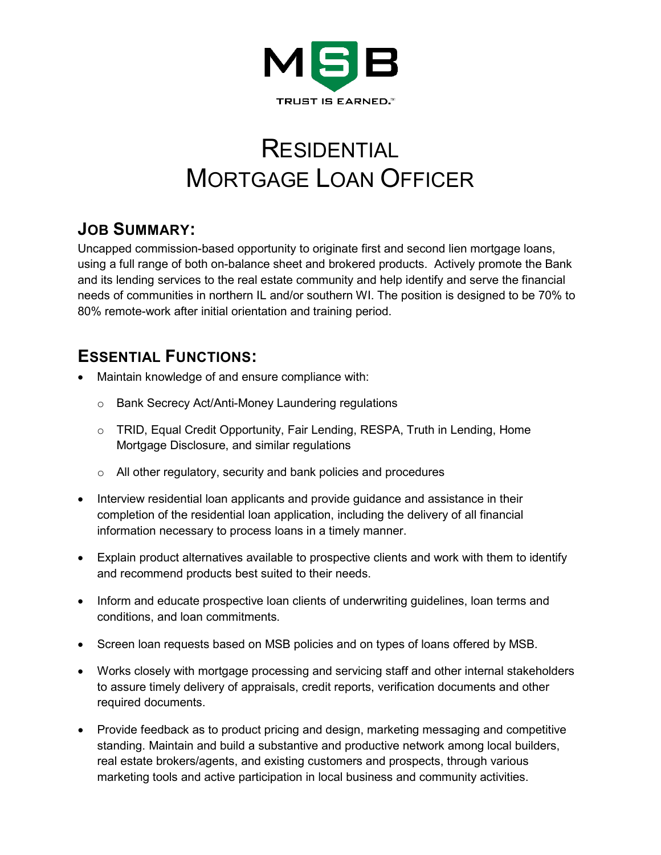

# RESIDENTIAL MORTGAGE LOAN OFFICER

## **JOB SUMMARY:**

Uncapped commission-based opportunity to originate first and second lien mortgage loans, using a full range of both on-balance sheet and brokered products. Actively promote the Bank and its lending services to the real estate community and help identify and serve the financial needs of communities in northern IL and/or southern WI. The position is designed to be 70% to 80% remote-work after initial orientation and training period.

## **ESSENTIAL FUNCTIONS:**

- Maintain knowledge of and ensure compliance with:
	- o Bank Secrecy Act/Anti-Money Laundering regulations
	- o TRID, Equal Credit Opportunity, Fair Lending, RESPA, Truth in Lending, Home Mortgage Disclosure, and similar regulations
	- o All other regulatory, security and bank policies and procedures
- Interview residential loan applicants and provide guidance and assistance in their completion of the residential loan application, including the delivery of all financial information necessary to process loans in a timely manner.
- Explain product alternatives available to prospective clients and work with them to identify and recommend products best suited to their needs.
- Inform and educate prospective loan clients of underwriting guidelines, loan terms and conditions, and loan commitments.
- Screen loan requests based on MSB policies and on types of loans offered by MSB.
- Works closely with mortgage processing and servicing staff and other internal stakeholders to assure timely delivery of appraisals, credit reports, verification documents and other required documents.
- Provide feedback as to product pricing and design, marketing messaging and competitive standing. Maintain and build a substantive and productive network among local builders, real estate brokers/agents, and existing customers and prospects, through various marketing tools and active participation in local business and community activities.